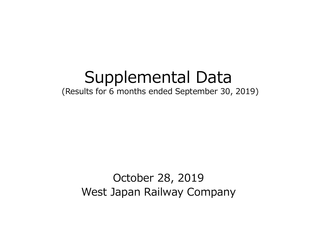### Supplemental Data (Results for 6 months ended September 30, 2019)

# October 28, 2019 West Japan Railway Company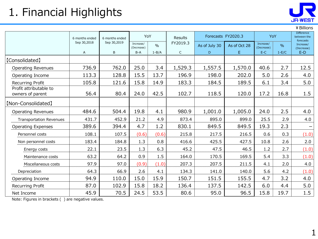# 1. Financial Highlights



|                                            |                |                |                         |               |             |                    |              |                         |               | ¥ Billions                                    |
|--------------------------------------------|----------------|----------------|-------------------------|---------------|-------------|--------------------|--------------|-------------------------|---------------|-----------------------------------------------|
|                                            | 6 months ended | 6 months ended | YoY                     |               | Results     | Forecasts FY2020.3 |              | YoY                     |               | <b>Difference</b><br>between the<br>forecasts |
|                                            | Sep 30,2018    | Sep 30,2019    | Increase/<br>(Decrease) | $\frac{0}{0}$ | FY2019.3    | As of July 30      | As of Oct 28 | Increase/<br>(Decrease) | $\frac{0}{0}$ | Increase/<br>(Decrease)                       |
|                                            | A              | B              | $B-A$                   | $1 - B/A$     | $\mathsf C$ | D                  | $\mathsf{E}$ | $E-C$                   | $1-E/C$       | $E-D$                                         |
| [Consolidated]                             |                |                |                         |               |             |                    |              |                         |               |                                               |
| <b>Operating Revenues</b>                  | 736.9          | 762.0          | 25.0                    | 3.4           | 1,529.3     | 1,557.5            | 1,570.0      | 40.6                    | 2.7           | 12.5                                          |
| Operating Income                           | 113.3          | 128.8          | 15.5                    | 13.7          | 196.9       | 198.0              | 202.0        | 5.0                     | 2.6           | 4.0                                           |
| <b>Recurring Profit</b>                    | 105.8          | 121.6          | 15.8                    | 14.9          | 183.3       | 184.5              | 189.5        | 6.1                     | 3.4           | 5.0                                           |
| Profit attributable to<br>owners of parent | 56.4           | 80.4           | 24.0                    | 42.5          | 102.7       | 118.5              | 120.0        | 17.2                    | 16.8          | 1.5                                           |
| [Non-Consolidated]                         |                |                |                         |               |             |                    |              |                         |               |                                               |
| <b>Operating Revenues</b>                  | 484.6          | 504.4          | 19.8                    | 4.1           | 980.9       | 1,001.0            | 1,005.0      | 24.0                    | 2.5           | 4.0                                           |
| <b>Transportation Revenues</b>             | 431.7          | 452.9          | 21.2                    | 4.9           | 873.4       | 895.0              | 899.0        | 25.5                    | 2.9           | 4.0                                           |
| <b>Operating Expenses</b>                  | 389.6          | 394.4          | 4.7                     | 1.2           | 830.1       | 849.5              | 849.5        | 19.3                    | 2.3           | $\overline{\phantom{0}}$                      |
| Personnel costs                            | 108.1          | 107.5          | (0.6)                   | (0.6)         | 215.8       | 217.5              | 216.5        | 0.6                     | 0.3           | (1.0)                                         |
| Non personnel costs                        | 183.4          | 184.8          | 1.3                     | 0.8           | 416.6       | 425.5              | 427.5        | 10.8                    | 2.6           | 2.0                                           |
| Energy costs                               | 22.1           | 23.5           | 1.3                     | 6.3           | 45.2        | 47.5               | 46.5         | 1.2                     | 2.7           | (1.0)                                         |
| Maintenance costs                          | 63.2           | 64.2           | 0.9                     | 1.5           | 164.0       | 170.5              | 169.5        | 5.4                     | 3.3           | (1.0)                                         |
| Miscellaneous costs                        | 97.9           | 97.0           | (0.9)                   | (1.0)         | 207.3       | 207.5              | 211.5        | 4.1                     | 2.0           | 4.0                                           |
| Depreciation                               | 64.3           | 66.9           | 2.6                     | 4.1           | 134.3       | 141.0              | 140.0        | 5.6                     | 4.2           | (1.0)                                         |
| Operating Income                           | 94.9           | 110.0          | 15.0                    | 15.9          | 150.7       | 151.5              | 155.5        | 4.7                     | 3.2           | 4.0                                           |
| Recurring Profit                           | 87.0           | 102.9          | 15.8                    | 18.2          | 136.4       | 137.5              | 142.5        | 6.0                     | 4.4           | 5.0                                           |
| Net Income                                 | 45.9           | 70.5           | 24.5                    | 53.5          | 80.6        | 95.0               | 96.5         | 15.8                    | 19.7          | 1.5                                           |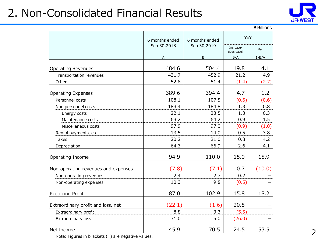### 2. Non-Consolidated Financial Results



|                                     |                |                |                         | ¥ Billions |
|-------------------------------------|----------------|----------------|-------------------------|------------|
|                                     | 6 months ended | 6 months ended | YoY                     |            |
|                                     | Sep 30,2018    | Sep 30,2019    | Increase/<br>(Decrease) | $\%$       |
|                                     | А              | B              | $B-A$                   | $1 - B/A$  |
| <b>Operating Revenues</b>           | 484.6          | 504.4          | 19.8                    | 4.1        |
| Transportation revenues             | 431.7          | 452.9          | 21.2                    | 4.9        |
| Other                               | 52.8           | 51.4           | (1.4)                   | (2.7)      |
| <b>Operating Expenses</b>           | 389.6          | 394.4          | 4.7                     | 1.2        |
| Personnel costs                     | 108.1          | 107.5          | (0.6)                   | (0.6)      |
| Non personnel costs                 | 183.4          | 184.8          | 1.3                     | 0.8        |
| Energy costs                        | 22.1           | 23.5           | 1.3                     | 6.3        |
| Maintenance costs                   | 63.2           | 64.2           | 0.9                     | 1.5        |
| Miscellaneous costs                 | 97.9           | 97.0           | (0.9)                   | (1.0)      |
| Rental payments, etc.               | 13.5           | 14.0           | 0.5                     | 3.8        |
| Taxes                               | 20.2           | 21.0           | 0.8                     | 4.2        |
| Depreciation                        | 64.3           | 66.9           | 2.6                     | 4.1        |
| Operating Income                    | 94.9           | 110.0          | 15.0                    | 15.9       |
| Non-operating revenues and expenses | (7.8)          | (7.1)          | 0.7                     | (10.0)     |
| Non-operating revenues              | 2.4            | 2.7            | 0.2                     |            |
| Non-operating expenses              | 10.3           | 9.8            | (0.5)                   |            |
| <b>Recurring Profit</b>             | 87.0           | 102.9          | 15.8                    | 18.2       |
| Extraordinary profit and loss, net  | (22.1)         | (1.6)          | 20.5                    |            |
| Extraordinary profit                | 8.8            | 3.3            | (5.5)                   |            |
| Extraordinary loss                  | 31.0           | 5.0            | (26.0)                  |            |
| Net Income                          | 45.9           | 70.5           | 24.5                    | 53.5       |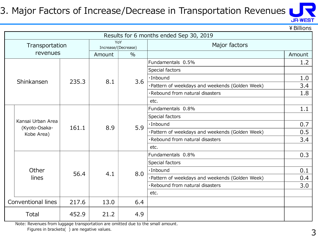#### 3. Major Factors of Increase/Decrease in Transportation Revenues



¥Billions

|  | Results for 6 months ended Sep 30, 2019          |       |                     |               |                                                 |        |  |  |  |
|--|--------------------------------------------------|-------|---------------------|---------------|-------------------------------------------------|--------|--|--|--|
|  | Transportation                                   |       | Increase/(Decrease) | YoY           | Major factors                                   |        |  |  |  |
|  | revenues                                         |       | Amount              | $\frac{0}{0}$ |                                                 | Amount |  |  |  |
|  |                                                  |       |                     |               | Fundamentals 0.5%                               | 1.2    |  |  |  |
|  |                                                  |       |                     |               | Special factors                                 |        |  |  |  |
|  | Shinkansen                                       | 235.3 | 8.1                 | 3.6           | ·Inbound                                        | 1.0    |  |  |  |
|  |                                                  |       |                     |               | ·Pattern of weekdays and weekends (Golden Week) | 3.4    |  |  |  |
|  |                                                  |       |                     |               | ·Rebound from natural disasters                 | 1.8    |  |  |  |
|  |                                                  |       |                     |               | etc.                                            |        |  |  |  |
|  | Kansai Urban Area<br>(Kyoto-Osaka-<br>Kobe Area) | 161.1 | 8.9                 | 5.9           | Fundamentals 0.8%                               | 1.1    |  |  |  |
|  |                                                  |       |                     |               | Special factors                                 |        |  |  |  |
|  |                                                  |       |                     |               | $\cdot$ Inbound                                 | 0.7    |  |  |  |
|  |                                                  |       |                     |               | ·Pattern of weekdays and weekends (Golden Week) | 0.5    |  |  |  |
|  |                                                  |       |                     |               | ·Rebound from natural disasters                 | 3.4    |  |  |  |
|  |                                                  |       |                     |               | etc.                                            |        |  |  |  |
|  |                                                  |       |                     |               | Fundamentals 0.8%                               | 0.3    |  |  |  |
|  |                                                  |       |                     |               | Special factors                                 |        |  |  |  |
|  | Other                                            | 56.4  | 4.1                 | 8.0           | $\cdot$ Inbound                                 | 0.1    |  |  |  |
|  | lines                                            |       |                     |               | ·Pattern of weekdays and weekends (Golden Week) | 0.4    |  |  |  |
|  |                                                  |       |                     |               | ·Rebound from natural disasters                 | 3.0    |  |  |  |
|  |                                                  |       |                     |               | etc.                                            |        |  |  |  |
|  | Conventional lines                               | 217.6 | 13.0                | 6.4           |                                                 |        |  |  |  |
|  | Total                                            | 452.9 | 21.2                | 4.9           |                                                 |        |  |  |  |

Note: Revenues from luggage transportation are omitted due to the small amount.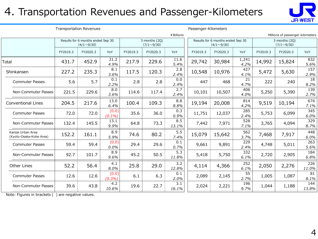#### 4. Transportation Revenues and Passenger-Kilometers

Transportation Revenues Passenger-Kilometers



|                                              |          |                                                        |                    |                                    |          | ¥ Billions   |          |                                                        |               |          | Millions of passenger-kilometers   |              |
|----------------------------------------------|----------|--------------------------------------------------------|--------------------|------------------------------------|----------|--------------|----------|--------------------------------------------------------|---------------|----------|------------------------------------|--------------|
|                                              |          | Results for 6 months ended Sep 30<br>$(4/1 \sim 9/30)$ |                    | 3 months (2Q)<br>$(7/1 \sim 9/30)$ |          |              |          | Results for 6 months ended Sep 30<br>$(4/1 \sim 9/30)$ |               |          | 3 months (2Q)<br>$(7/1 \sim 9/30)$ |              |
|                                              | FY2019.3 | FY2020.3                                               | YoY                | FY2019.3                           | FY2020.3 | YoY          | FY2019.3 | FY2020.3                                               | YoY           | FY2019.3 | FY2020.3                           | YoY          |
| Total                                        | 431.7    | 452.9                                                  | 21.2<br>4.9%       | 217.9                              | 229.6    | 11.6<br>5.4% | 29,742   | 30,984                                                 | 1,241<br>4.2% | 14,992   | 15,824                             | 832<br>5.6%  |
| Shinkansen                                   | 227.2    | 235.3                                                  | 8.1<br>3.6%        | 117.5                              | 120.3    | 2.8<br>2.4%  | 10,548   | 10,976                                                 | 427<br>4.1%   | 5,472    | 5,630                              | 157<br>2.9%  |
| <b>Commuter Passes</b>                       | 5.6      | 5.7                                                    | 0.1<br>2.2%        | 2.8                                | 2.8      | 0.0<br>2.4%  | 447      | 468                                                    | 21<br>4.7%    | 222      | 240                                | 18<br>8.2%   |
| Non-Commuter Passes                          | 221.5    | 229.6                                                  | 8.0<br>3.6%        | 114.6                              | 117.4    | 2.7<br>2.4%  | 10,101   | 10,507                                                 | 406<br>4.0%   | 5,250    | 5,390                              | 139<br>2.7%  |
| <b>Conventional Lines</b>                    | 204.5    | 217.6                                                  | 13.0<br>6.4%       | 100.4                              | 109.3    | 8.8<br>8.8%  | 19,194   | 20,008                                                 | 814<br>4.2%   | 9,519    | 10,194                             | 674<br>7.1%  |
| <b>Commuter Passes</b>                       | 72.0     | 72.0                                                   | (0.0)<br>$(0.1\%)$ | 35.6                               | 36.0     | 0.3<br>0.9%  | 11,751   | 12,037                                                 | 285<br>2.4%   | 5,753    | 6,099                              | 345<br>6.0%  |
| Non-Commuter Passes                          | 132.4    | 145.5                                                  | 13.1<br>9.9%       | 64.8                               | 73.3     | 8.5<br>13.1% | 7,442    | 7,971                                                  | 528<br>7.1%   | 3,765    | 4,094                              | 329<br>8.7%  |
| Kansai Urban Area<br>(Kyoto-Osaka-Kobe Area) | 152.2    | 161.1                                                  | 8.9<br>5.9%        | 74.6                               | 80.2     | 5.5<br>7.4%  | 15,079   | 15,642                                                 | 562<br>3.7%   | 7,468    | 7,917                              | 448<br>6.0%  |
| <b>Commuter Passes</b>                       | 59.4     | 59.4                                                   | (0.0)<br>0.0%      | 29.4                               | 29.6     | 0.1<br>0.7%  | 9,661    | 9,891                                                  | 229<br>2.4%   | 4,748    | 5,011                              | 263<br>5.6%  |
| Non-Commuter Passes                          | 92.7     | 101.7                                                  | 8.9<br>9.6%        | 45.2                               | 50.5     | 5.3<br>11.8% | 5,418    | 5,750                                                  | 332<br>6.1%   | 2,720    | 2,905                              | 184<br>6.8%  |
| Other Lines                                  | 52.2     | 56.4                                                   | 4.1<br>8.0%        | 25.8                               | 29.0     | 3.2<br>12.8% | 4,114    | 4,366                                                  | 252<br>6.1%   | 2,050    | 2,276                              | 226<br>11.0% |
| Commuter Passes                              | 12.6     | 12.6                                                   | (0.0)<br>$(0.3\%)$ | 6.1                                | 6.3      | 0.1<br>2.0%  | 2,089    | 2,145                                                  | 55<br>2.7%    | 1,005    | 1,087                              | 81<br>8.1%   |
| Non-Commuter Passes                          | 39.6     | 43.8                                                   | 4.2<br>10.6%       | 19.6                               | 22.7     | 3.1<br>16.1% | 2,024    | 2,221                                                  | 196<br>9.7%   | 1,044    | 1,188                              | 144<br>13.8% |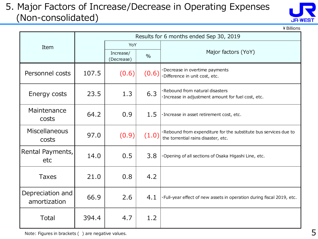#### 5. Major Factors of Increase/Decrease in Operating Expenses (Non-consolidated)



¥Billions

|                                  |       |                         |       | Results for 6 months ended Sep 30, 2019                                                                 |  |  |
|----------------------------------|-------|-------------------------|-------|---------------------------------------------------------------------------------------------------------|--|--|
| Item                             |       | YoY                     |       |                                                                                                         |  |  |
|                                  |       | Increase/<br>(Decrease) | $\%$  | Major factors (YoY)                                                                                     |  |  |
| Personnel costs                  | 107.5 | (0.6)                   | (0.6) | ·Decrease in overtime payments<br>·Difference in unit cost, etc.                                        |  |  |
| Energy costs                     | 23.5  | 1.3                     | 6.3   | ·Rebound from natural disasters<br>· Increase in adjustment amount for fuel cost, etc.                  |  |  |
| Maintenance<br>costs             | 64.2  | 0.9                     | 1.5   | · Increase in asset retirement cost, etc.                                                               |  |  |
| Miscellaneous<br>costs           | 97.0  | (0.9)                   | (1.0) | ·Rebound from expenditure for the substitute bus services due to<br>the torrential rains disaster, etc. |  |  |
| Rental Payments,<br>etc          | 14.0  | 0.5                     | 3.8   | Opening of all sections of Osaka Higashi Line, etc.                                                     |  |  |
| <b>Taxes</b>                     | 21.0  | 0.8                     | 4.2   |                                                                                                         |  |  |
| Depreciation and<br>amortization | 66.9  | 2.6                     | 4.1   | · Full-year effect of new assets in operation during fiscal 2019, etc.                                  |  |  |
| Total                            | 394.4 | 4.7                     | 1.2   |                                                                                                         |  |  |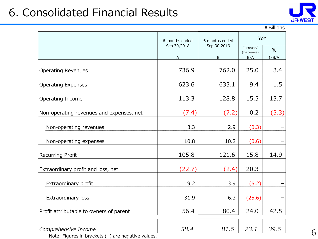### 6. Consolidated Financial Results



#### ¥Billions

|                                                                             | 6 months ended   | 6 months ended   | YoY                              |                   |  |
|-----------------------------------------------------------------------------|------------------|------------------|----------------------------------|-------------------|--|
|                                                                             | Sep 30,2018<br>A | Sep 30,2019<br>B | Increase/<br>(Decrease)<br>$B-A$ | $\%$<br>$1 - B/A$ |  |
|                                                                             |                  |                  |                                  |                   |  |
| <b>Operating Revenues</b>                                                   | 736.9            | 762.0            | 25.0                             | 3.4               |  |
| <b>Operating Expenses</b>                                                   | 623.6            | 633.1            | 9.4                              | 1.5               |  |
| Operating Income                                                            | 113.3            | 128.8            | 15.5                             | 13.7              |  |
| Non-operating revenues and expenses, net                                    | (7.4)            | (7.2)            | 0.2                              | (3.3)             |  |
| Non-operating revenues                                                      | 3.3              | 2.9              | (0.3)                            |                   |  |
| Non-operating expenses                                                      | 10.8             | 10.2             | (0.6)                            |                   |  |
| Recurring Profit                                                            | 105.8            | 121.6            | 15.8                             | 14.9              |  |
| Extraordinary profit and loss, net                                          | (22.7)           | (2.4)            | 20.3                             |                   |  |
| Extraordinary profit                                                        | 9.2              | 3.9              | (5.2)                            |                   |  |
| Extraordinary loss                                                          | 31.9             | 6.3              | (25.6)                           |                   |  |
| Profit attributable to owners of parent                                     | 56.4             | 80.4             | 24.0                             | 42.5              |  |
| Comprehensive Income<br>Note: Figures in brackets (<br>are negative values. | 58.4             | 81.6             | 23.1                             | 39.6              |  |

6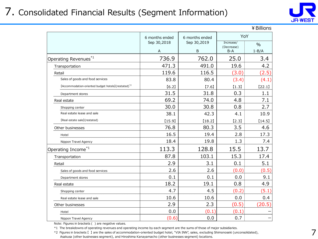### 7. Consolidated Financial Results (Segment Information)



|                                                                |                                    |                                    |                                       | ¥ Billions                 |
|----------------------------------------------------------------|------------------------------------|------------------------------------|---------------------------------------|----------------------------|
|                                                                | 6 months ended<br>Sep 30,2018<br>A | 6 months ended<br>Sep 30,2019<br>B | YoY<br>Increase/<br>(Decrease)<br>B-A | $\frac{0}{0}$<br>$1 - B/A$ |
| Operating Revenues <sup>*1</sup>                               | 736.9                              | 762.0                              | 25.0                                  | 3.4                        |
| Transportation                                                 | 471.3                              | 491.0                              | 19.6                                  | 4.2                        |
| Retail                                                         | 119.6                              | 116.5                              | (3.0)                                 | (2.5)                      |
| Sales of goods and food services                               | 83.8                               | 80.4                               | (3.4)                                 | (4.1)                      |
| [Accommodation-oriented budget hotels](restated) <sup>*2</sup> | [6.2]                              | [7.6]                              | $[1.3]$                               | [22.1]                     |
| Department stores                                              | 31.5                               | 31.8                               | 0.3                                   | 1.1                        |
| Real estate                                                    | 69.2                               | 74.0                               | 4.8                                   | 7.1                        |
| Shopping center                                                | 30.0                               | 30.8                               | 0.8                                   | 2.7                        |
| Real estate lease and sale                                     | 38.1                               | 42.3                               | 4.1                                   | 10.9                       |
| [Real estate sale](restated)                                   | [15.9]                             | [18.2]                             | [2.3]                                 | [14.5]                     |
| Other businesses                                               | 76.8                               | 80.3                               | 3.5                                   | 4.6                        |
| Hotel                                                          | 16.5                               | 19.4                               | 2.8                                   | 17.3                       |
| Nippon Travel Agency                                           | 18.4                               | 19.8                               | 1.3                                   | 7.4                        |
| Operating Income <sup>*1</sup>                                 | 113.3                              | 128.8                              | 15.5                                  | 13.7                       |
| Transportation                                                 | 87.8                               | 103.1                              | 15.3                                  | 17.4                       |
| Retail                                                         | 2.9                                | 3.1                                | 0.1                                   | 5.1                        |
| Sales of goods and food services                               | 2.6                                | 2.6                                | (0.0)                                 | (0.5)                      |
| Department stores                                              | 0.1                                | 0.1                                | 0.0                                   | 9.1                        |
| Real estate                                                    | 18.2                               | 19.1                               | 0.8                                   | 4.9                        |
| Shopping center                                                | 4.7                                | 4.5                                | (0.2)                                 | (5.1)                      |
| Real estate lease and sale                                     | 10.6                               | 10.6                               | 0.0                                   | 0.4                        |
| Other businesses                                               | 2.9                                | 2.3                                | (0.5)                                 | (20.5)                     |
| Hotel                                                          | 0.0                                | (0.1)                              | (0.1)                                 |                            |
| Nippon Travel Agency                                           | (0.6)                              | 0.0                                | 0.7                                   |                            |

Note: Figures in brackets ( ) are negative values.

\*1 The breakdowns of operating revenues and operating income by each segment are the sums of those of major subsidiaries.

\*2 Figures in brackets 【 】 are the sales of accommodation-oriented budget hotel, "VIA INN", sales, excluding Shimonoseki (unconsolidated), Asakusa (other businesses segment), and Hiroshima Kanayamacho (other businesses segment) locations.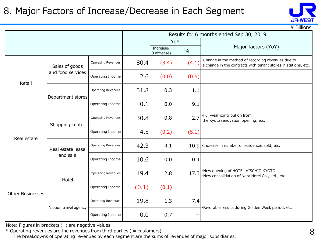#### 8. Major Factors of Increase/Decrease in Each Segment



 $\angle$  Billions

|                         |                      |                           | Results for 6 months ended Sep 30, 2019 |                         |               |                                                                                                                      |  |  |
|-------------------------|----------------------|---------------------------|-----------------------------------------|-------------------------|---------------|----------------------------------------------------------------------------------------------------------------------|--|--|
|                         |                      |                           |                                         |                         | YoY           |                                                                                                                      |  |  |
|                         |                      |                           |                                         | Increase/<br>(Decrease) | $\frac{0}{0}$ | Major factors (YoY)                                                                                                  |  |  |
|                         | Sales of goods       | <b>Operating Revenues</b> | 80.4                                    | (3.4)                   | (4.1)         | .Change in the method of recording revenues due to<br>a change in the contracts with tenant stores in stations, etc. |  |  |
| Retail                  | and food services    | Operating Income          | 2.6                                     | (0.0)                   | (0.5)         |                                                                                                                      |  |  |
|                         |                      | <b>Operating Revenues</b> | 31.8                                    | 0.3                     | 1.1           |                                                                                                                      |  |  |
|                         | Department stores    | Operating Income          | 0.1                                     | 0.0                     | 9.1           |                                                                                                                      |  |  |
|                         | Shopping center      | Operating Revenues        | 30.8                                    | 0.8                     | 2.7           | ·Full-year contribution from<br>the Kyoto renovation opening, etc.                                                   |  |  |
| Real estate             |                      | Operating Income          | 4.5                                     | (0.2)                   | (5.1)         |                                                                                                                      |  |  |
|                         | Real estate lease    | <b>Operating Revenues</b> | 42.3                                    | 4.1                     |               | $10.9$ $\cdot$ Increase in number of residences sold, etc.                                                           |  |  |
|                         | and sale             | Operating Income          | 10.6                                    | 0.0                     | 0.4           |                                                                                                                      |  |  |
|                         | Hotel                | <b>Operating Revenues</b> | 19.4                                    | 2.8                     | 17.3          | ·New opening of HOTEL VISCHIO KYOTO<br>·New consolidation of Nara Hotel Co., Ltd., etc.                              |  |  |
| <b>Other Businesses</b> |                      | Operating Income          | (0.1)                                   | (0.1)                   |               |                                                                                                                      |  |  |
|                         |                      | <b>Operating Revenues</b> | 19.8                                    | 1.3                     | 7.4           |                                                                                                                      |  |  |
|                         | Nippon travel agency | Operating Income          | 0.0                                     | 0.7                     |               | ·Favorable results during Golden Week period, etc                                                                    |  |  |

Note: Figures in brackets ( ) are negative values.

 $*$  Operating revenues are the revenues from third parties ( = customers).

The breakdowns of operating revenues by each segment are the sums of revenues of major subsidiaries.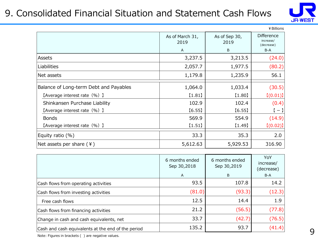#### 9. Consolidated Financial Situation and Statement Cash Flows



|                                        |                         |                       | ¥ Billions                                   |
|----------------------------------------|-------------------------|-----------------------|----------------------------------------------|
|                                        | As of March 31,<br>2019 | As of Sep 30,<br>2019 | <b>Difference</b><br>increase/<br>(decrease) |
|                                        | A                       | B                     | $B-A$                                        |
| Assets                                 | 3,237.5                 | 3,213.5               | (24.0)                                       |
| Liabilities                            | 2,057.7                 | 1,977.5               | (80.2)                                       |
| Net assets                             | 1,179.8                 | 1,235.9               | 56.1                                         |
| Balance of Long-term Debt and Payables | 1,064.0                 | 1,033.4               | (30.5)                                       |
| [Average interest rate (%) ]           | [1.81]                  | [1.80]                | [(0.01)]                                     |
| Shinkansen Purchase Liability          | 102.9                   | 102.4                 | (0.4)                                        |
| [Average interest rate (%) ]           | [6.55]                  | [6.55]                | $[-1]$                                       |
| <b>Bonds</b>                           | 569.9                   | 554.9                 | (14.9)                                       |
| [Average interest rate (%) ]           | [1.51]                  | [1.49]                | [(0.02)]                                     |
| Equity ratio $(\%)$                    | 33.3                    | 35.3                  | 2.0                                          |
| Net assets per share $(4)$             | 5,612.63                | 5,929.53              | 316.90                                       |

|                                                    | 6 months ended<br>Sep 30,2018<br>$\mathsf{A}$ | 6 months ended<br>Sep 30,2019<br>B | YoY<br>increase/<br>(decrease)<br>B-A |
|----------------------------------------------------|-----------------------------------------------|------------------------------------|---------------------------------------|
| Cash flows from operating activities               | 93.5                                          | 107.8                              | 14.2                                  |
| Cash flows from investing activities               | (81.0)                                        | (93.3)                             | (12.3)                                |
| Free cash flows                                    | 12.5                                          | 14.4                               | 1.9                                   |
| Cash flows from financing activities               | 21.2                                          | (56.5)                             | (77.8)                                |
| Change in cash and cash equivalents, net           | 33.7                                          | (42.7)                             | (76.5)                                |
| Cash and cash equivalents at the end of the period | 135.2                                         | 93.7                               | (41.4)                                |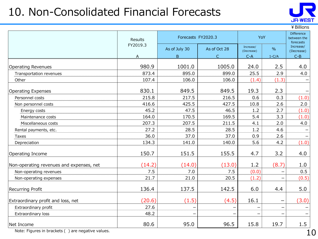### 10. Non-Consolidated Financial Forecasts



¥Billions

|                                          | Results  | YoY<br>Forecasts FY2020.3 |              |                         | Difference<br>between the<br>forecasts |                         |
|------------------------------------------|----------|---------------------------|--------------|-------------------------|----------------------------------------|-------------------------|
|                                          | FY2019.3 | As of July 30             | As of Oct 28 | Increase/<br>(Decrease) | $\frac{9}{6}$                          | Increase/<br>(Decrease) |
|                                          | A        | B.                        | $\subset$    | $C-A$                   | $1-C/A$                                | $C - B$                 |
| <b>Operating Revenues</b>                | 980.9    | 1001.0                    | 1005.0       | 24.0                    | 2.5                                    | 4.0                     |
| Transportation revenues                  | 873.4    | 895.0                     | 899.0        | 25.5                    | 2.9                                    | 4.0                     |
| Other                                    | 107.4    | 106.0                     | 106.0        | (1.4)                   | (1.3)                                  |                         |
| <b>Operating Expenses</b>                | 830.1    | 849.5                     | 849.5        | 19.3                    | 2.3                                    |                         |
| Personnel costs                          | 215.8    | 217.5                     | 216.5        | 0.6                     | 0.3                                    | (1.0)                   |
| Non personnel costs                      | 416.6    | 425.5                     | 427.5        | 10.8                    | 2.6                                    | 2.0                     |
| Energy costs                             | 45.2     | 47.5                      | 46.5         | 1.2                     | 2.7                                    | (1.0)                   |
| Maintenance costs                        | 164.0    | 170.5                     | 169.5        | 5.4                     | 3.3                                    | (1.0)                   |
| Miscellaneous costs                      | 207.3    | 207.5                     | 211.5        | 4.1                     | 2.0                                    | 4.0                     |
| Rental payments, etc.                    | 27.2     | 28.5                      | 28.5         | 1.2                     | 4.6                                    |                         |
| <b>Taxes</b>                             | 36.0     | 37.0                      | 37.0         | 0.9                     | 2.6                                    |                         |
| Depreciation                             | 134.3    | 141.0                     | 140.0        | 5.6                     | 4.2                                    | (1.0)                   |
| Operating Income                         | 150.7    | 151.5                     | 155.5        | 4.7                     | 3.2                                    | 4.0                     |
| Non-operating revenues and expenses, net | (14.2)   | (14.0)                    | (13.0)       | 1.2                     | (8.7)                                  | 1.0                     |
| Non-operating revenues                   | 7.5      | 7.0                       | 7.5          | (0.0)                   |                                        | 0.5                     |
| Non-operating expenses                   | 21.7     | 21.0                      | 20.5         | (1.2)                   |                                        | (0.5)                   |
| Recurring Profit                         | 136.4    | 137.5                     | 142.5        | 6.0                     | 4.4                                    | 5.0                     |
| Extraordinary profit and loss, net       | (20.6)   | (1.5)                     | (4.5)        | 16.1                    |                                        | (3.0)                   |
| Extraordinary profit                     | 27.6     |                           |              |                         |                                        |                         |
| Extraordinary loss                       | 48.2     |                           |              |                         |                                        |                         |
| Net Income                               | 80.6     | 95.0                      | 96.5         | 15.8                    | 19.7                                   | 1.5                     |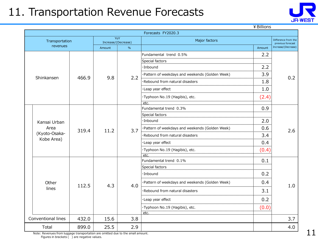### 11. Transportation Revenue Forecasts



¥Billions

|                             |       |                |                            | Forecasts FY2020.3                              |        |                                          |  |
|-----------------------------|-------|----------------|----------------------------|-------------------------------------------------|--------|------------------------------------------|--|
| Transportation              |       |                | YoY<br>Increase/(Decrease) | Major factors                                   |        | Difference from the<br>previous forecast |  |
| revenues                    |       | $\%$<br>Amount |                            |                                                 | Amount | Increase/(Decrease)                      |  |
|                             |       |                |                            | Fundamental trend 0.5%                          | 2.2    |                                          |  |
|                             |       |                |                            | Special factors                                 |        |                                          |  |
|                             |       |                |                            | ·Inbound                                        | 2.2    |                                          |  |
| Shinkansen                  | 466.9 | 9.8            | 2.2                        | ·Pattern of weekdays and weekends (Golden Week) | 3.9    | 0.2                                      |  |
|                             |       |                |                            | ·Rebound from natural disasters                 | 1.8    |                                          |  |
|                             |       |                |                            | ·Leap year effect                               | 1.0    |                                          |  |
|                             |       |                |                            | ·Typhoon No.19 (Hagibis), etc.                  | (2.4)  |                                          |  |
|                             |       |                |                            | etc.                                            |        |                                          |  |
|                             |       |                |                            | Fundamental trend 0.3%                          | 0.9    |                                          |  |
|                             |       |                |                            | Special factors                                 |        | 2.6                                      |  |
| Kansai Urban                |       |                |                            | ·Inbound                                        | 2.0    |                                          |  |
| Area                        | 319.4 | 11.2           | 3.7                        | ·Pattern of weekdays and weekends (Golden Week) | 0.6    |                                          |  |
| (Kyoto-Osaka-<br>Kobe Area) |       |                |                            | ·Rebound from natural disasters                 | 3.4    |                                          |  |
|                             |       |                |                            | ·Leap year effect                               | 0.4    |                                          |  |
|                             |       |                |                            | ·Typhoon No.19 (Hagibis), etc.                  | (0.4)  |                                          |  |
|                             |       |                |                            | etc.                                            |        |                                          |  |
|                             |       |                |                            | Fundamental trend 0.1%                          | 0.1    |                                          |  |
|                             |       |                |                            | Special factors                                 |        |                                          |  |
|                             |       |                |                            | ·Inbound                                        | 0.2    |                                          |  |
| Other                       | 112.5 | 4.3            | 4.0                        | ·Pattern of weekdays and weekends (Golden Week) | 0.4    | 1.0                                      |  |
| lines                       |       |                |                            | ·Rebound from natural disasters                 | 3.1    |                                          |  |
|                             |       |                |                            | ·Leap year effect                               | 0.2    |                                          |  |
|                             |       |                |                            | ·Typhoon No.19 (Hagibis), etc.                  | (0.0)  |                                          |  |
|                             |       |                |                            | etc.                                            |        |                                          |  |
| Conventional lines          | 432.0 | 15.6           | 3.8                        |                                                 |        | 3.7                                      |  |
| Total                       | 899.0 | 25.5           | 2.9                        |                                                 |        | 4.0                                      |  |

Note: Revenues from luggage transportation are omitted due to the small amount.

Figures in brackets ( ) are negative values.

11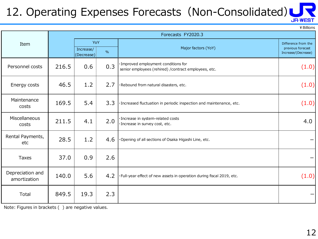#### 12. Operating Expenses Forecasts (Non-Consolidated) **JR-WEST**

¥Billions

|                                  |                    |                          |     |                                                                                               | בו וטווווש +                                                    |  |  |
|----------------------------------|--------------------|--------------------------|-----|-----------------------------------------------------------------------------------------------|-----------------------------------------------------------------|--|--|
|                                  | Forecasts FY2020.3 |                          |     |                                                                                               |                                                                 |  |  |
| Item                             |                    | YoY<br>Increase/<br>$\%$ |     | Major factors (YoY)                                                                           | Difference from the<br>previous forecast<br>Increase/(Decrease) |  |  |
|                                  |                    | (Decrease)               |     |                                                                                               |                                                                 |  |  |
| Personnel costs                  | 216.5              | 0.6                      | 0.3 | · Improved employment conditions for<br>senior employees (rehired) / contract employees, etc. | (1.0)                                                           |  |  |
| Energy costs                     | 46.5               | 1.2                      | 2.7 | ·Rebound from natural disasters, etc.                                                         | (1.0)                                                           |  |  |
| Maintenance<br>costs             | 169.5              | 5.4                      | 3.3 | · Increased fluctuation in periodic inspection and maintenance, etc.                          | (1.0)                                                           |  |  |
| Miscellaneous<br>costs           | 211.5              | 4.1                      | 2.0 | · Increase in system-related costs<br>· Increase in survey cost, etc.                         | 4.0                                                             |  |  |
| Rental Payments,<br>etc          | 28.5               | 1.2                      | 4.6 | Opening of all sections of Osaka Higashi Line, etc.                                           |                                                                 |  |  |
| Taxes                            | 37.0               | 0.9                      | 2.6 |                                                                                               |                                                                 |  |  |
| Depreciation and<br>amortization | 140.0              | 5.6                      | 4.2 | · Full-year effect of new assets in operation during fiscal 2019, etc.                        | (1.0)                                                           |  |  |
| Total                            | 849.5              | 19.3                     | 2.3 |                                                                                               | —                                                               |  |  |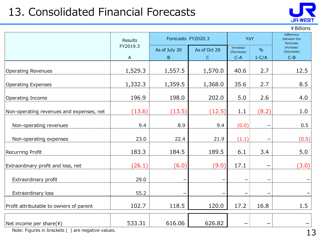### 13. Consolidated Financial Forecasts



¥Billions

|                                          | Results                               | Forecasts FY2020.3 |                              | YoY                                                          |       | Difference<br>between the<br>forecasts |  |
|------------------------------------------|---------------------------------------|--------------------|------------------------------|--------------------------------------------------------------|-------|----------------------------------------|--|
|                                          | FY2019.3<br>$\boldsymbol{\mathsf{A}}$ | As of July 30<br>B | As of Oct 28<br>$\mathsf{C}$ | Increase/<br>$\frac{0}{0}$<br>(Decrease)<br>$1-C/A$<br>$C-A$ |       | Increase/<br>(Decrease)<br>$C-B$       |  |
| <b>Operating Revenues</b>                | 1,529.3                               | 1,557.5            | 1,570.0                      | 40.6                                                         | 2.7   | 12.5                                   |  |
| <b>Operating Expenses</b>                | 1,332.3                               | 1,359.5            | 1,368.0                      | 35.6                                                         | 2.7   | 8.5                                    |  |
| Operating Income                         | 196.9                                 | 198.0              | 202.0                        | 5.0                                                          | 2.6   | 4.0                                    |  |
| Non-operating revenues and expenses, net | (13.6)                                | (13.5)             | (12.5)                       | 1.1                                                          | (8.2) | 1.0                                    |  |
| Non-operating revenues                   | 9.4                                   | 8.9                | 9.4                          | (0.0)                                                        |       | 0.5                                    |  |
| Non-operating expenses                   | 23.0                                  | 22.4               | 21.9                         | (1.1)                                                        |       | (0.5)                                  |  |
| Recurring Profit                         | 183.3                                 | 184.5              | 189.5                        | 6.1                                                          | 3.4   | 5.0                                    |  |
| Extraordinary profit and loss, net       | (26.1)                                | (6.0)              | (9.0)                        | 17.1                                                         | —     | (3.0)                                  |  |
| Extraordinary profit                     | 29.0                                  |                    |                              |                                                              | —     |                                        |  |
| Extraordinary loss                       | 55.2                                  |                    |                              |                                                              |       |                                        |  |
| Profit attributable to owners of parent  | 102.7                                 | 118.5              | 120.0                        | 17.2                                                         | 16.8  | 1.5                                    |  |
| Net income per share(\)                  | 533.31                                | 616.06             | 626.82                       |                                                              |       |                                        |  |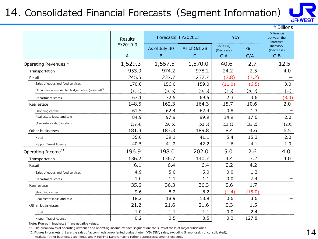### 14. Consolidated Financial Forecasts (Segment Information)



¥Billions

|                                                                | Results  | Forecasts FY2020.3 |              | YoY                     |               | <b>Difference</b><br>between the<br>forecasts |
|----------------------------------------------------------------|----------|--------------------|--------------|-------------------------|---------------|-----------------------------------------------|
|                                                                | FY2019.3 | As of July 30      | As of Oct 28 | Increase/<br>(Decrease) | $\frac{0}{0}$ | Increase/<br>(Decrease)                       |
|                                                                | A        | B                  | C            | $C-A$                   | $1-C/A$       | $C-B$                                         |
| Operating Revenues*1                                           | 1,529.3  | 1,557.5            | 1,570.0      | 40.6                    | 2.7           | 12.5                                          |
| Transportation                                                 | 953.9    | 974.2              | 978.2        | 24.2                    | 2.5           | 4.0                                           |
| Retail                                                         | 245.5    | 237.7              | 237.7        | (7.8)                   | (3.2)         |                                               |
| Sales of goods and food services                               | 170.0    | 156.0              | 159.0        | (11.0)                  | (6.5)         | 3.0                                           |
| [Accommodation-oriented budget hotels](restated) <sup>*2</sup> | [13.1]   | [16.6]             | [16.6]       | [3.5]                   | [26.7]        | $[-]$                                         |
| Department stores                                              | 67.1     | 72.5               | 69.5         | 2.3                     | 3.6           | (3.0)                                         |
| Real estate                                                    | 148.5    | 162.3              | 164.3        | 15.7                    | 10.6          | 2.0                                           |
| Shopping center                                                | 61.5     | 62.4               | 62.4         | 0.8                     | 1.3           |                                               |
| Real estate lease and sale                                     | 84.9     | 97.9               | 99.9         | 14.9                    | 17.6          | 2.0                                           |
| [Real estate sale](restated)                                   | [39.4]   | [50.5]             | [52.5]       | [13.1]                  | [33.2]        | [2.0]                                         |
| Other businesses                                               | 181.3    | 183.3              | 189.8        | 8.4                     | 4.6           | 6.5                                           |
| Hotel                                                          | 35.6     | 39.1               | 41.1         | 5.4                     | 15.3          | 2.0                                           |
| Nippon Travel Agency                                           | 40.5     | 41.2               | 42.2         | 1.6                     | 4.1           | 1.0                                           |
| Operating Income <sup>*1</sup>                                 | 196.9    | 198.0              | 202.0        | 5.0                     | 2.6           | 4.0                                           |
| Transportation                                                 | 136.2    | 136.7              | 140.7        | 4.4                     | 3.2           | 4.0                                           |
| Retail                                                         | 6.1      | 6.4                | 6.4          | 0.2                     | 4.2           |                                               |
| Sales of goods and food services                               | 4.9      | 5.0                | 5.0          | 0.0                     | 1.2           |                                               |
| Department stores                                              | 1.0      | 1.1                | 1.1          | 0.0                     | 7.4           |                                               |
| Real estate                                                    | 35.6     | 36.3               | 36.3         | 0.6                     | 1.7           |                                               |
| Shopping center                                                | 9.6      | 8.2                | 8.2          | (1.4)                   | (15.0)        |                                               |
| Real estate lease and sale                                     | 18.2     | 18.9               | 18.9         | 0.6                     | 3.6           |                                               |
| Other businesses                                               | 21.2     | 21.6               | 21.6         | 0.3                     | 1.5           | -                                             |
| Hotel                                                          | 1.0      | 1.1                | 1.1          | 0.0                     | 2.4           |                                               |
| Nippon Travel Agency                                           | 0.2      | 0.5                | 0.5          | 0.2                     | 127.8         | —                                             |

Note: Figures in brackets ( ) are negative values.

\*1 The breakdowns of operating revenues and operating income by each segment are the sums of those of major subsidiaries.

\*2 Figures in brackets 【 】 are the sales of accommodation-oriented budget hotel, "VIA INN", sales, excluding Shimonoseki (unconsolidated), Asakusa (other businesses segment), and Hiroshima Kanayamacho (other businesses segment) locations.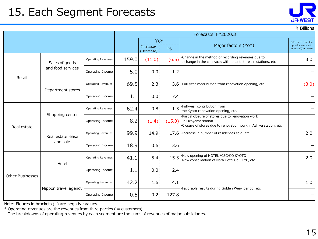### 15. Each Segment Forecasts

|                         |                               |                           |       | Forecasts FY2020.3                              |        |                                                                                                                                            |                                                                 |  |
|-------------------------|-------------------------------|---------------------------|-------|-------------------------------------------------|--------|--------------------------------------------------------------------------------------------------------------------------------------------|-----------------------------------------------------------------|--|
|                         |                               |                           |       | YoY<br>Increase/<br>$\frac{0}{0}$<br>(Decrease) |        | Major factors (YoY)                                                                                                                        | Difference from the<br>previous forecast<br>Increase/(Decrease) |  |
| Retail                  | Sales of goods                | <b>Operating Revenues</b> | 159.0 | (11.0)                                          | (6.5)  | ·Change in the method of recording revenues due to<br>a change in the contracts with tenant stores in stations, etc                        | 3.0                                                             |  |
|                         | and food services             | Operating Income          | 5.0   | 0.0                                             | 1.2    |                                                                                                                                            |                                                                 |  |
|                         |                               | <b>Operating Revenues</b> | 69.5  | 2.3                                             |        | $3.6$ $\cdot$ Full-year contribution from renovation opening, etc.                                                                         | (3.0)                                                           |  |
|                         | Department stores             | Operating Income          | 1.1   | 0.0                                             | 7.4    |                                                                                                                                            |                                                                 |  |
| Real estate             | Shopping center               | <b>Operating Revenues</b> | 62.4  | 0.8                                             | 1.3    | ·Full-year contribution from<br>the Kyoto renovation opening, etc.                                                                         |                                                                 |  |
|                         |                               | Operating Income          | 8.2   | (1.4)                                           | (15.0) | ·Partial closure of stores due to renovation work<br>in Okayama station<br>Closure of stores due to renovation work in Ashiya station, etc |                                                                 |  |
|                         | Real estate lease<br>and sale | <b>Operating Revenues</b> | 99.9  | 14.9                                            | 17.6   | ·Increase in number of residences sold, etc.                                                                                               | 2.0                                                             |  |
|                         |                               | Operating Income          | 18.9  | 0.6                                             | 3.6    |                                                                                                                                            |                                                                 |  |
| <b>Other Businesses</b> | Hotel                         | <b>Operating Revenues</b> | 41.1  | 5.4                                             | 15.3   | ·New opening of HOTEL VISCHIO KYOTO<br>·New consolidation of Nara Hotel Co., Ltd., etc.                                                    | 2.0                                                             |  |
|                         |                               | Operating Income          | 1.1   | 0.0                                             | 2.4    |                                                                                                                                            |                                                                 |  |
|                         |                               | <b>Operating Revenues</b> | 42.2  | 1.6                                             | 4.1    | ·Favorable results during Golden Week period, etc                                                                                          | 1.0                                                             |  |
|                         | Nippon travel agency          | Operating Income          | 0.5   | 0.2                                             | 127.8  |                                                                                                                                            |                                                                 |  |

Note: Figures in brackets ( ) are negative values.

 $*$  Operating revenues are the revenues from third parties ( = customers).

The breakdowns of operating revenues by each segment are the sums of revenues of major subsidiaries.



\ Billions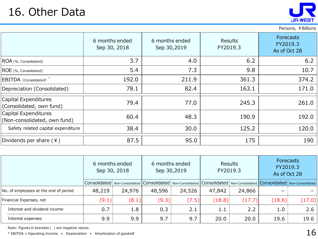

Persons, ¥Billions

|                                                      | 6 months ended<br>Sep 30, 2018 | 6 months ended<br>Sep 30,2019 | <b>Results</b><br>FY2019.3 | Forecasts<br>FY2019.3<br>As of Oct 28 |
|------------------------------------------------------|--------------------------------|-------------------------------|----------------------------|---------------------------------------|
| ROA (%, Consolidated)                                | 3.7                            | 4.0                           | 6.2                        | 6.2                                   |
| ROE (%, Consolidated)                                | 5.4                            | 7.3                           | 9.8                        | 10.7                                  |
| EBITDA (Consolidated) <sup>*</sup>                   | 192.0                          | 211.9                         | 361.3                      | 374.2                                 |
| Depreciation (Consolidated)                          | 78.1                           | 82.4                          | 163.1                      | 171.0                                 |
| Capital Expenditures<br>(Consolidated, own fund)     | 79.4                           | 77.0                          | 245.3                      | 261.0                                 |
| Capital Expenditures<br>(Non-consolidated, own fund) | 60.4                           | 48.3                          | 190.9                      | 192.0                                 |
| Safety related capital expenditure                   | 38.4                           | 30.0                          | 125.2                      | 120.0                                 |
| Dividends per share $(*)$                            | 87.5                           | 95.0                          | 175                        | 190                                   |

|                                       | 6 months ended<br>Sep 30, 2018 |                                                                                                                                       | 6 months ended<br>Sep 30,2019 |        | Results<br>FY2019.3 |        | <b>Forecasts</b><br>FY2019.3<br>As of Oct 28 |        |
|---------------------------------------|--------------------------------|---------------------------------------------------------------------------------------------------------------------------------------|-------------------------------|--------|---------------------|--------|----------------------------------------------|--------|
|                                       |                                | Consolidated   Non-Consolidated   Consolidated   Non-Consolidated   Consolidated   Non-Consolidated   Consolidated   Non-Consolidated |                               |        |                     |        |                                              |        |
| No. of employees at the end of period | 48,219                         | 24,976                                                                                                                                | 48,596                        | 24,526 | 47,842              | 24,866 | $\overline{\phantom{0}}$                     |        |
| Financial Expenses, net               | (9.1)                          | (8.1)                                                                                                                                 | (9.3)                         | (7.5)  | (18.8)              | (17.7) | (18.6)                                       | (17.0) |
| Interest and dividend income          | 0.7                            | 1.8                                                                                                                                   | 0.3                           | 2.1    | 1.1                 | 2.2    | 1.0                                          | 2.6    |
| Interest expenses                     | 9.9                            | 9.9                                                                                                                                   | 9.7                           | 9.7    | 20.0                | 20.0   | 19.6                                         | 19.6   |

Note: Figures in brackets ( ) are negative values.

 $*$  EBITDA = Operating Income + Depreciation + Amortization of goodwill